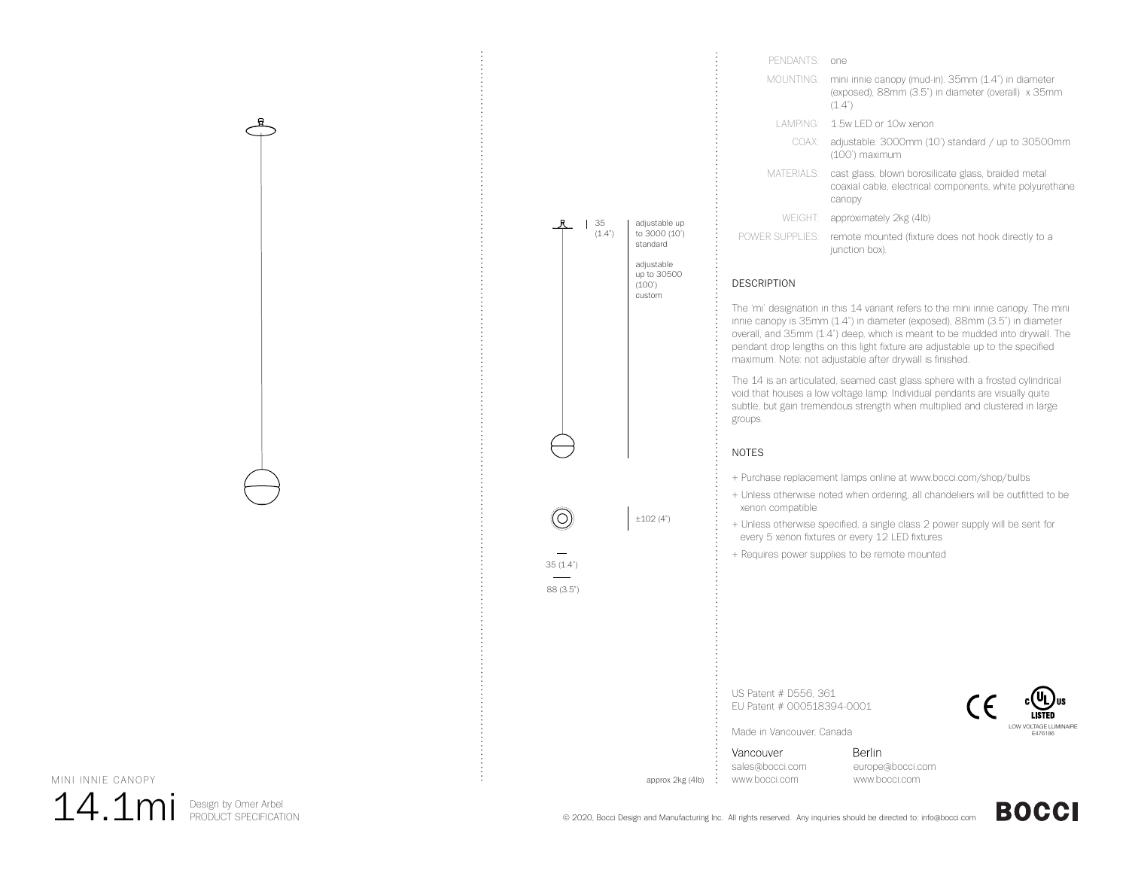| PENDANTS <sup>.</sup> | one                                                                                                                       |
|-----------------------|---------------------------------------------------------------------------------------------------------------------------|
| MOUNTING:             | mini innie canopy (mud-in). 35mm (1.4") in diameter<br>(exposed), 88mm (3.5") in diameter (overall) x 35mm<br>(1.4")      |
|                       | LAMPING: 1.5w LED or 10w xenon                                                                                            |
|                       | COAX: adjustable. 3000mm (10') standard / up to 30500mm<br>(100') maximum                                                 |
| MATERIALS:            | cast glass, blown borosilicate glass, braided metal<br>coaxial cable, electrical components, white polyurethane<br>canopy |
| WEIGHT: I             | approximately 2kg (4lb)                                                                                                   |
| POWER SUPPLIES:       | remote mounted (fixture does not hook directly to a<br>junction box).                                                     |

## DESCRIPTION

The 'mi' designation in this 14 variant refers to the mini innie canopy. The mini innie canopy is 35mm (1.4") in diameter (exposed), 88mm (3.5") in diameter overall, and 35mm (1.4") deep, which is meant to be mudded into drywall. The pendant drop lengths on this light fixture are adjustable up to the specified maximum. Note: not adjustable after drywall is finished.

The 14 is an articulated, seamed cast glass sphere with a frosted cylindrical void that houses a low voltage lamp. Individual pendants are visually quite subtle, but gain tremendous strength when multiplied and clustered in large groups.

### NOTES

±102 (4")

approx 2kg (4lb)

 $35(1.4")$ 88 (3.5")

O)

adjustable up to 3000 (10') standard adjustable up to 30500 (100') custom

35  $(1.4")$ 

+ Purchase replacement lamps online at www.bocci.com/shop/bulbs

- + Unless otherwise noted when ordering, all chandeliers will be outfitted to be xenon compatible.
- + Unless otherwise specified, a single class 2 power supply will be sent for every 5 xenon fixtures or every 12 LED fixtures
- + Requires power supplies to be remote mounted

US Patent # D556, 361 EU Patent # 000518394-0001



Made in Vancouver, Canada

Vancouver sales@bocci.com www.bocci.com

Berlin europe@bocci.com www.bocci.com



 $14.1$ mi Design by Omer Arbel

© 2020, Bocci Design and Manufacturing Inc. All rights reserved. Any inquiries should be directed to: info@bocci.com